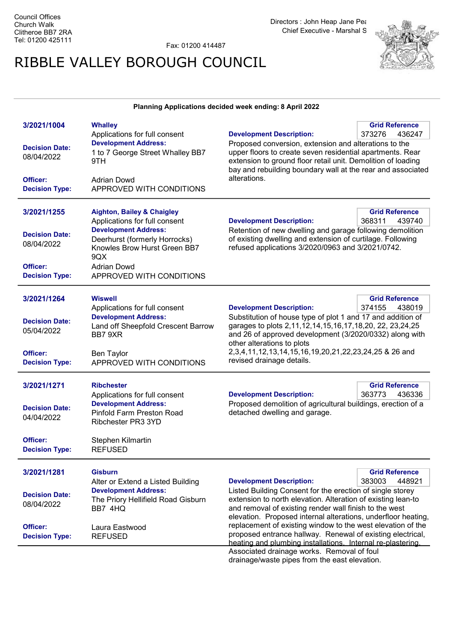Fax: 01200 414487

## RIBBLE VALLEY BOROUGH COUNCIL



## Planning Applications decided week ending: 8April 2022

| 3/2021/1004           | <b>Whalley</b>                        |                                                               | <b>Grid Reference</b> |
|-----------------------|---------------------------------------|---------------------------------------------------------------|-----------------------|
|                       | Applications for full consent         | <b>Development Description:</b>                               | 373276<br>436247      |
|                       | <b>Development Address:</b>           | Proposed conversion, extension and alterations to the         |                       |
| <b>Decision Date:</b> | 1 to 7 George Street Whalley BB7      | upper floors to create seven residential apartments. Rear     |                       |
| 08/04/2022            | 9TH                                   | extension to ground floor retail unit. Demolition of loading  |                       |
|                       |                                       | bay and rebuilding boundary wall at the rear and associated   |                       |
| Officer:              | <b>Adrian Dowd</b>                    | alterations.                                                  |                       |
| <b>Decision Type:</b> | APPROVED WITH CONDITIONS              |                                                               |                       |
|                       |                                       |                                                               |                       |
|                       |                                       |                                                               |                       |
| 3/2021/1255           | <b>Aighton, Bailey &amp; Chaigley</b> |                                                               | <b>Grid Reference</b> |
|                       | Applications for full consent         | <b>Development Description:</b>                               | 368311<br>439740      |
|                       | <b>Development Address:</b>           | Retention of new dwelling and garage following demolition     |                       |
| <b>Decision Date:</b> | Deerhurst (formerly Horrocks)         | of existing dwelling and extension of curtilage. Following    |                       |
| 08/04/2022            | Knowles Brow Hurst Green BB7          | refused applications 3/2020/0963 and 3/2021/0742.             |                       |
|                       | 9QX                                   |                                                               |                       |
| Officer:              | <b>Adrian Dowd</b>                    |                                                               |                       |
| <b>Decision Type:</b> | APPROVED WITH CONDITIONS              |                                                               |                       |
|                       |                                       |                                                               |                       |
|                       |                                       |                                                               |                       |
| 3/2021/1264           | <b>Wiswell</b>                        |                                                               | <b>Grid Reference</b> |
|                       | Applications for full consent         | <b>Development Description:</b>                               | 374155<br>438019      |
|                       | <b>Development Address:</b>           | Substitution of house type of plot 1 and 17 and addition of   |                       |
| <b>Decision Date:</b> | Land off Sheepfold Crescent Barrow    | garages to plots 2,11,12,14,15,16,17,18,20, 22, 23,24,25      |                       |
| 05/04/2022            | BB7 9XR                               | and 26 of approved development (3/2020/0332) along with       |                       |
|                       |                                       | other alterations to plots                                    |                       |
| Officer:              | <b>Ben Taylor</b>                     | 2,3,4,11,12,13,14,15,16,19,20,21,22,23,24,25 & 26 and         |                       |
| <b>Decision Type:</b> | APPROVED WITH CONDITIONS              | revised drainage details.                                     |                       |
|                       |                                       |                                                               |                       |
|                       |                                       |                                                               |                       |
| 3/2021/1271           | <b>Ribchester</b>                     |                                                               | <b>Grid Reference</b> |
|                       | Applications for full consent         | <b>Development Description:</b>                               | 363773<br>436336      |
| <b>Decision Date:</b> | <b>Development Address:</b>           | Proposed demolition of agricultural buildings, erection of a  |                       |
|                       | Pinfold Farm Preston Road             | detached dwelling and garage.                                 |                       |
| 04/04/2022            | Ribchester PR3 3YD                    |                                                               |                       |
|                       |                                       |                                                               |                       |
| Officer:              | Stephen Kilmartin                     |                                                               |                       |
| <b>Decision Type:</b> | <b>REFUSED</b>                        |                                                               |                       |
|                       |                                       |                                                               |                       |
|                       |                                       |                                                               |                       |
| 3/2021/1281           | <b>Gisburn</b>                        |                                                               | <b>Grid Reference</b> |
|                       | Alter or Extend a Listed Building     | <b>Development Description:</b>                               | 383003<br>448921      |
| <b>Decision Date:</b> | <b>Development Address:</b>           | Listed Building Consent for the erection of single storey     |                       |
| 08/04/2022            | The Priory Hellifield Road Gisburn    | extension to north elevation. Alteration of existing lean-to  |                       |
|                       | BB7 4HQ                               | and removal of existing render wall finish to the west        |                       |
|                       |                                       | elevation. Proposed internal alterations, underfloor heating, |                       |
| Officer:              | Laura Eastwood                        | replacement of existing window to the west elevation of the   |                       |
| <b>Decision Type:</b> | <b>REFUSED</b>                        | proposed entrance hallway. Renewal of existing electrical,    |                       |
|                       |                                       | heating and plumbing installations. Internal re-plastering.   |                       |
|                       |                                       | coopieted dreinege werke. Bemevel of foul                     |                       |

Associated drainage works. Removal of foul drainage/waste pipes from the east elevation.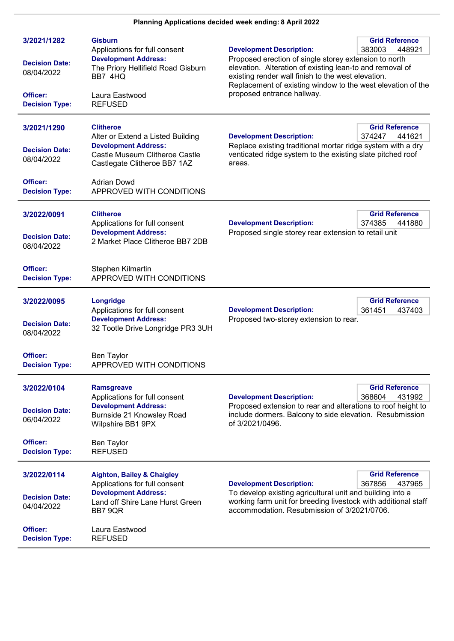| 3/2021/1282<br><b>Decision Date:</b><br>08/04/2022<br>Officer:<br><b>Decision Type:</b> | <b>Gisburn</b><br>Applications for full consent<br><b>Development Address:</b><br>The Priory Hellifield Road Gisburn<br>BB7 4HQ<br>Laura Eastwood<br><b>REFUSED</b>                                      | <b>Development Description:</b><br>Proposed erection of single storey extension to north<br>elevation. Alteration of existing lean-to and removal of<br>existing render wall finish to the west elevation.<br>Replacement of existing window to the west elevation of the<br>proposed entrance hallway. | <b>Grid Reference</b><br>383003<br>448921 |
|-----------------------------------------------------------------------------------------|----------------------------------------------------------------------------------------------------------------------------------------------------------------------------------------------------------|---------------------------------------------------------------------------------------------------------------------------------------------------------------------------------------------------------------------------------------------------------------------------------------------------------|-------------------------------------------|
| 3/2021/1290<br><b>Decision Date:</b><br>08/04/2022<br>Officer:<br><b>Decision Type:</b> | <b>Clitheroe</b><br>Alter or Extend a Listed Building<br><b>Development Address:</b><br>Castle Museum Clitheroe Castle<br>Castlegate Clitheroe BB7 1AZ<br><b>Adrian Dowd</b><br>APPROVED WITH CONDITIONS | <b>Development Description:</b><br>Replace existing traditional mortar ridge system with a dry<br>venticated ridge system to the existing slate pitched roof<br>areas.                                                                                                                                  | <b>Grid Reference</b><br>374247<br>441621 |
| 3/2022/0091<br><b>Decision Date:</b><br>08/04/2022                                      | <b>Clitheroe</b><br>Applications for full consent<br><b>Development Address:</b><br>2 Market Place Clitheroe BB7 2DB                                                                                     | <b>Development Description:</b><br>Proposed single storey rear extension to retail unit                                                                                                                                                                                                                 | <b>Grid Reference</b><br>374385<br>441880 |
| Officer:<br><b>Decision Type:</b>                                                       | Stephen Kilmartin<br>APPROVED WITH CONDITIONS                                                                                                                                                            |                                                                                                                                                                                                                                                                                                         |                                           |
| 3/2022/0095<br><b>Decision Date:</b><br>08/04/2022                                      | Longridge<br>Applications for full consent<br><b>Development Address:</b><br>32 Tootle Drive Longridge PR3 3UH                                                                                           | <b>Development Description:</b><br>Proposed two-storey extension to rear.                                                                                                                                                                                                                               | <b>Grid Reference</b><br>361451<br>437403 |
| Officer:<br><b>Decision Type:</b>                                                       | Ben Taylor<br>APPROVED WITH CONDITIONS                                                                                                                                                                   |                                                                                                                                                                                                                                                                                                         |                                           |
| 3/2022/0104<br><b>Decision Date:</b><br>06/04/2022                                      | <b>Ramsgreave</b><br>Applications for full consent<br><b>Development Address:</b><br>Burnside 21 Knowsley Road<br>Wilpshire BB1 9PX                                                                      | <b>Development Description:</b><br>Proposed extension to rear and alterations to roof height to<br>include dormers. Balcony to side elevation. Resubmission<br>of 3/2021/0496.                                                                                                                          | <b>Grid Reference</b><br>368604<br>431992 |
| Officer:<br><b>Decision Type:</b>                                                       | Ben Taylor<br><b>REFUSED</b>                                                                                                                                                                             |                                                                                                                                                                                                                                                                                                         |                                           |
| 3/2022/0114<br><b>Decision Date:</b><br>04/04/2022                                      | <b>Aighton, Bailey &amp; Chaigley</b><br>Applications for full consent<br><b>Development Address:</b><br>Land off Shire Lane Hurst Green<br>BB7 9QR                                                      | <b>Development Description:</b><br>To develop existing agricultural unit and building into a<br>working farm unit for breeding livestock with additional staff<br>accommodation. Resubmission of 3/2021/0706.                                                                                           | <b>Grid Reference</b><br>367856<br>437965 |
| Officer:<br><b>Decision Type:</b>                                                       | Laura Eastwood<br><b>REFUSED</b>                                                                                                                                                                         |                                                                                                                                                                                                                                                                                                         |                                           |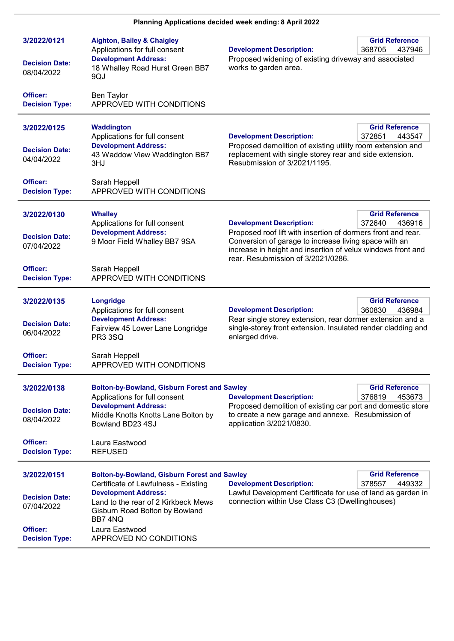| 3/2022/0121<br><b>Decision Date:</b><br>08/04/2022 | <b>Aighton, Bailey &amp; Chaigley</b><br>Applications for full consent<br><b>Development Address:</b><br>18 Whalley Road Hurst Green BB7<br>9QJ                                                     | <b>Development Description:</b><br>Proposed widening of existing driveway and associated<br>works to garden area.                                                                                                                                                                                          | <b>Grid Reference</b><br>368705<br>437946 |
|----------------------------------------------------|-----------------------------------------------------------------------------------------------------------------------------------------------------------------------------------------------------|------------------------------------------------------------------------------------------------------------------------------------------------------------------------------------------------------------------------------------------------------------------------------------------------------------|-------------------------------------------|
| Officer:<br><b>Decision Type:</b>                  | <b>Ben Taylor</b><br>APPROVED WITH CONDITIONS                                                                                                                                                       |                                                                                                                                                                                                                                                                                                            |                                           |
| 3/2022/0125<br><b>Decision Date:</b>               | Waddington<br>Applications for full consent<br><b>Development Address:</b><br>43 Waddow View Waddington BB7                                                                                         | <b>Development Description:</b><br>Proposed demolition of existing utility room extension and<br>replacement with single storey rear and side extension.                                                                                                                                                   | <b>Grid Reference</b><br>372851<br>443547 |
| 04/04/2022<br>Officer:<br><b>Decision Type:</b>    | 3HJ<br>Sarah Heppell<br>APPROVED WITH CONDITIONS                                                                                                                                                    | Resubmission of 3/2021/1195.                                                                                                                                                                                                                                                                               |                                           |
| 3/2022/0130<br><b>Decision Date:</b><br>07/04/2022 | <b>Whalley</b><br>Applications for full consent<br><b>Development Address:</b><br>9 Moor Field Whalley BB7 9SA                                                                                      | <b>Grid Reference</b><br><b>Development Description:</b><br>372640<br>436916<br>Proposed roof lift with insertion of dormers front and rear.<br>Conversion of garage to increase living space with an<br>increase in height and insertion of velux windows front and<br>rear. Resubmission of 3/2021/0286. |                                           |
| Officer:<br><b>Decision Type:</b>                  | Sarah Heppell<br>APPROVED WITH CONDITIONS                                                                                                                                                           |                                                                                                                                                                                                                                                                                                            |                                           |
| 3/2022/0135<br><b>Decision Date:</b><br>06/04/2022 | Longridge<br>Applications for full consent<br><b>Development Address:</b><br>Fairview 45 Lower Lane Longridge<br><b>PR3 3SQ</b>                                                                     | <b>Development Description:</b><br>Rear single storey extension, rear dormer extension and a<br>single-storey front extension. Insulated render cladding and<br>enlarged drive.                                                                                                                            | <b>Grid Reference</b><br>360830<br>436984 |
| Officer:<br><b>Decision Type:</b>                  | Sarah Heppell<br>APPROVED WITH CONDITIONS                                                                                                                                                           |                                                                                                                                                                                                                                                                                                            |                                           |
| 3/2022/0138<br><b>Decision Date:</b><br>08/04/2022 | <b>Bolton-by-Bowland, Gisburn Forest and Sawley</b><br>Applications for full consent<br><b>Development Address:</b><br>Middle Knotts Knotts Lane Bolton by<br>Bowland BD23 4SJ                      | <b>Development Description:</b><br>Proposed demolition of existing car port and domestic store<br>to create a new garage and annexe. Resubmission of<br>application 3/2021/0830.                                                                                                                           | <b>Grid Reference</b><br>376819<br>453673 |
| Officer:<br><b>Decision Type:</b>                  | Laura Eastwood<br><b>REFUSED</b>                                                                                                                                                                    |                                                                                                                                                                                                                                                                                                            |                                           |
| 3/2022/0151<br><b>Decision Date:</b><br>07/04/2022 | <b>Bolton-by-Bowland, Gisburn Forest and Sawley</b><br>Certificate of Lawfulness - Existing<br><b>Development Address:</b><br>Land to the rear of 2 Kirkbeck Mews<br>Gisburn Road Bolton by Bowland | <b>Development Description:</b><br>Lawful Development Certificate for use of land as garden in<br>connection within Use Class C3 (Dwellinghouses)                                                                                                                                                          | <b>Grid Reference</b><br>378557<br>449332 |
| Officer:<br><b>Decision Type:</b>                  | BB7 4NQ<br>Laura Eastwood<br>APPROVED NO CONDITIONS                                                                                                                                                 |                                                                                                                                                                                                                                                                                                            |                                           |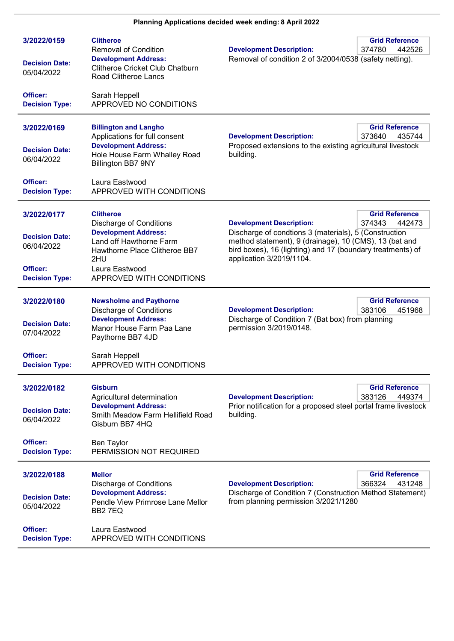| 3/2022/0159<br><b>Decision Date:</b><br>05/04/2022<br>Officer:<br><b>Decision Type:</b> | <b>Clitheroe</b><br><b>Removal of Condition</b><br><b>Development Address:</b><br><b>Clitheroe Cricket Club Chatburn</b><br>Road Clitheroe Lancs<br>Sarah Heppell<br>APPROVED NO CONDITIONS           | <b>Grid Reference</b><br><b>Development Description:</b><br>374780<br>442526<br>Removal of condition 2 of 3/2004/0538 (safety netting).                                                                                                                                                   |
|-----------------------------------------------------------------------------------------|-------------------------------------------------------------------------------------------------------------------------------------------------------------------------------------------------------|-------------------------------------------------------------------------------------------------------------------------------------------------------------------------------------------------------------------------------------------------------------------------------------------|
| 3/2022/0169<br><b>Decision Date:</b><br>06/04/2022<br>Officer:                          | <b>Billington and Langho</b><br>Applications for full consent<br><b>Development Address:</b><br>Hole House Farm Whalley Road<br>Billington BB7 9NY<br>Laura Eastwood                                  | <b>Grid Reference</b><br><b>Development Description:</b><br>373640<br>435744<br>Proposed extensions to the existing agricultural livestock<br>building.                                                                                                                                   |
| <b>Decision Type:</b>                                                                   | APPROVED WITH CONDITIONS                                                                                                                                                                              |                                                                                                                                                                                                                                                                                           |
| 3/2022/0177<br><b>Decision Date:</b><br>06/04/2022<br>Officer:<br><b>Decision Type:</b> | <b>Clitheroe</b><br><b>Discharge of Conditions</b><br><b>Development Address:</b><br>Land off Hawthorne Farm<br>Hawthorne Place Clitheroe BB7<br>2HU<br>Laura Eastwood<br>APPROVED WITH CONDITIONS    | <b>Grid Reference</b><br><b>Development Description:</b><br>374343<br>442473<br>Discharge of condtions 3 (materials), 5 (Construction<br>method statement), 9 (drainage), 10 (CMS), 13 (bat and<br>bird boxes), 16 (lighting) and 17 (boundary treatments) of<br>application 3/2019/1104. |
| 3/2022/0180<br><b>Decision Date:</b><br>07/04/2022<br>Officer:<br><b>Decision Type:</b> | <b>Newsholme and Paythorne</b><br><b>Discharge of Conditions</b><br><b>Development Address:</b><br>Manor House Farm Paa Lane<br>Paythorne BB7 4JD<br>Sarah Heppell<br><b>APPROVED WITH CONDITIONS</b> | <b>Grid Reference</b><br>383106<br><b>Development Description:</b><br>451968<br>Discharge of Condition 7 (Bat box) from planning<br>permission 3/2019/0148.                                                                                                                               |
| 3/2022/0182<br><b>Decision Date:</b><br>06/04/2022<br>Officer:<br><b>Decision Type:</b> | <b>Gisburn</b><br>Agricultural determination<br><b>Development Address:</b><br>Smith Meadow Farm Hellifield Road<br>Gisburn BB7 4HQ<br><b>Ben Taylor</b><br>PERMISSION NOT REQUIRED                   | <b>Grid Reference</b><br>383126<br><b>Development Description:</b><br>449374<br>Prior notification for a proposed steel portal frame livestock<br>building.                                                                                                                               |
| 3/2022/0188<br><b>Decision Date:</b><br>05/04/2022<br>Officer:<br><b>Decision Type:</b> | <b>Mellor</b><br><b>Discharge of Conditions</b><br><b>Development Address:</b><br>Pendle View Primrose Lane Mellor<br>BB27EQ<br>Laura Eastwood<br>APPROVED WITH CONDITIONS                            | <b>Grid Reference</b><br>366324<br><b>Development Description:</b><br>431248<br>Discharge of Condition 7 (Construction Method Statement)<br>from planning permission 3/2021/1280                                                                                                          |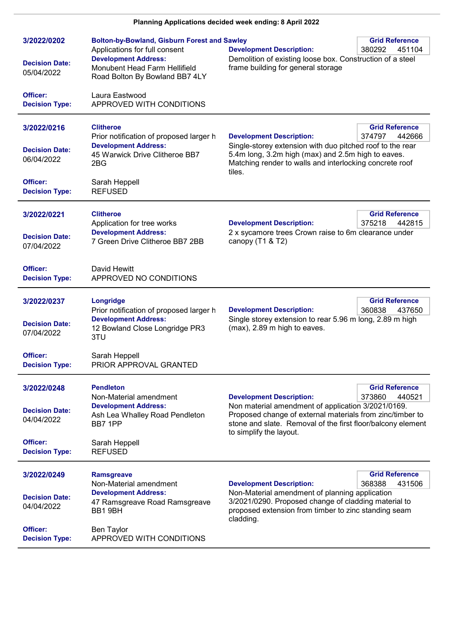| 3/2022/0202                         | <b>Bolton-by-Bowland, Gisburn Forest and Sawley</b><br>Applications for full consent           | <b>Development Description:</b>                                                                                                                                                                                          | <b>Grid Reference</b><br>380292<br>451104 |
|-------------------------------------|------------------------------------------------------------------------------------------------|--------------------------------------------------------------------------------------------------------------------------------------------------------------------------------------------------------------------------|-------------------------------------------|
| <b>Decision Date:</b><br>05/04/2022 | <b>Development Address:</b><br>Monubent Head Farm Hellifield<br>Road Bolton By Bowland BB7 4LY | Demolition of existing loose box. Construction of a steel<br>frame building for general storage                                                                                                                          |                                           |
| Officer:<br><b>Decision Type:</b>   | Laura Eastwood<br>APPROVED WITH CONDITIONS                                                     |                                                                                                                                                                                                                          |                                           |
| 3/2022/0216                         | <b>Clitheroe</b><br>Prior notification of proposed larger h                                    | <b>Development Description:</b>                                                                                                                                                                                          | <b>Grid Reference</b><br>374797<br>442666 |
| <b>Decision Date:</b><br>06/04/2022 | <b>Development Address:</b><br>45 Warwick Drive Clitheroe BB7<br>2BG                           | Single-storey extension with duo pitched roof to the rear<br>5.4m long, 3.2m high (max) and 2.5m high to eaves.<br>Matching render to walls and interlocking concrete roof<br>tiles.                                     |                                           |
| Officer:<br><b>Decision Type:</b>   | Sarah Heppell<br><b>REFUSED</b>                                                                |                                                                                                                                                                                                                          |                                           |
| 3/2022/0221                         | <b>Clitheroe</b><br>Application for tree works                                                 | <b>Development Description:</b>                                                                                                                                                                                          | <b>Grid Reference</b><br>375218<br>442815 |
| <b>Decision Date:</b><br>07/04/2022 | <b>Development Address:</b><br>7 Green Drive Clitheroe BB7 2BB                                 | 2 x sycamore trees Crown raise to 6m clearance under<br>canopy (T1 & T2)                                                                                                                                                 |                                           |
| Officer:<br><b>Decision Type:</b>   | David Hewitt<br>APPROVED NO CONDITIONS                                                         |                                                                                                                                                                                                                          |                                           |
| 3/2022/0237                         | Longridge<br>Prior notification of proposed larger h                                           | <b>Development Description:</b>                                                                                                                                                                                          | <b>Grid Reference</b><br>360838<br>437650 |
| <b>Decision Date:</b><br>07/04/2022 | <b>Development Address:</b><br>12 Bowland Close Longridge PR3<br>3TU                           | Single storey extension to rear 5.96 m long, 2.89 m high<br>(max), 2.89 m high to eaves.                                                                                                                                 |                                           |
| Officer:<br><b>Decision Type:</b>   | Sarah Heppell<br>PRIOR APPROVAL GRANTED                                                        |                                                                                                                                                                                                                          |                                           |
| 3/2022/0248                         | <b>Pendleton</b><br>Non-Material amendment                                                     | <b>Development Description:</b>                                                                                                                                                                                          | <b>Grid Reference</b><br>373860<br>440521 |
| <b>Decision Date:</b><br>04/04/2022 | <b>Development Address:</b><br>Ash Lea Whalley Road Pendleton<br>BB7 1PP                       | Non material amendment of application 3/2021/0169.<br>Proposed change of external materials from zinc/timber to<br>stone and slate. Removal of the first floor/balcony element<br>to simplify the layout.                |                                           |
| Officer:<br><b>Decision Type:</b>   | Sarah Heppell<br><b>REFUSED</b>                                                                |                                                                                                                                                                                                                          |                                           |
| 3/2022/0249                         | <b>Ramsgreave</b><br>Non-Material amendment                                                    |                                                                                                                                                                                                                          | <b>Grid Reference</b><br>431506           |
| <b>Decision Date:</b><br>04/04/2022 | <b>Development Address:</b><br>47 Ramsgreave Road Ramsgreave<br>BB1 9BH                        | <b>Development Description:</b><br>368388<br>Non-Material amendment of planning application<br>3/2021/0290. Proposed change of cladding material to<br>proposed extension from timber to zinc standing seam<br>cladding. |                                           |
| Officer:<br><b>Decision Type:</b>   | <b>Ben Taylor</b><br>APPROVED WITH CONDITIONS                                                  |                                                                                                                                                                                                                          |                                           |